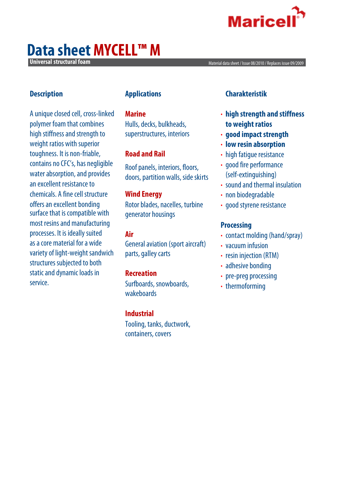

## **Data sheet MYCELL™ M**

**Universal structural foam** *Material data sheet / Issue* **08/2010 / Replaces issue 09/2009** 

#### **Description**

A unique closed cell, cross-linked polymer foam that combines high stiffness and strength to weight ratios with superior toughness. It is non-friable, contains no CFC's, has negligible water absorption, and provides an excellent resistance to chemicals. A fine cell structure offers an excellent bonding surface that is compatible with most resins and manufacturing processes. It is ideally suited as a core material for a wide variety of light-weight sandwich structures subjected to both static and dynamic loads in service.

#### **Applications**

#### **Marine**

Hulls, decks, bulkheads, superstructures, interiors

## **Road and Rail**

Roof panels, interiors, floors, doors, partition walls, side skirts

#### **Wind Energy**

Rotor blades, nacelles, turbine generator housings

## **Air**

General aviation (sport aircraft) parts, galley carts

#### **Recreation**

Surfboards, snowboards, wakeboards

## **Industrial**

Tooling, tanks, ductwork, containers, covers

## **Charakteristik**

- **· high strength and stiffness to weight ratios**
- **· good impact strength**
- **· low resin absorption**
- **·** high fatigue resistance
- **·** good fire performance (self-extinguishing)
- **·** sound and thermal insulation
- **·** non biodegradable
- **·** good styrene resistance

## **Processing**

- **·** contact molding (hand/spray)
- **·** vacuum infusion
- **·** resin injection (RTM)
- **·** adhesive bonding
- **·** pre-preg processing
- **·** thermoforming